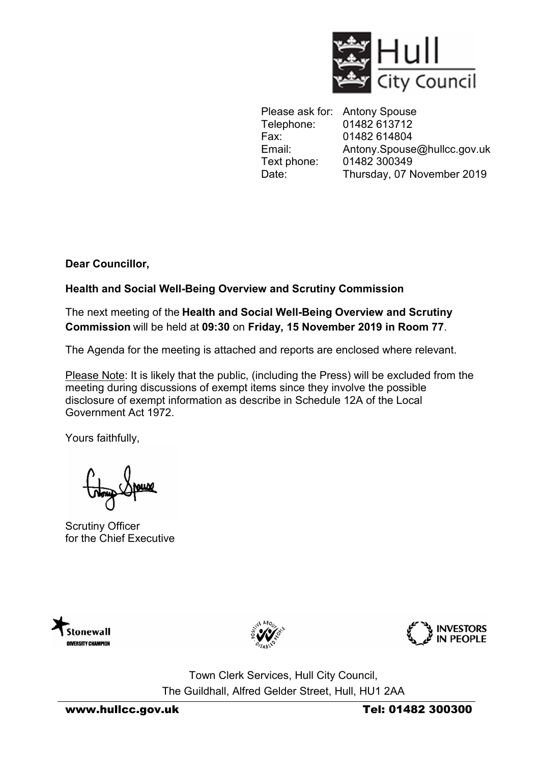

Please ask for: Antony Spouse Telephone: 01482 613712 Fax: 01482 614804 Email: Antony.Spouse@hullcc.gov.uk Text phone: 01482 300349 Date: Thursday, 07 November 2019

**Dear Councillor,** 

**Health and Social Well-Being Overview and Scrutiny Commission**

The next meeting of the **Health and Social Well-Being Overview and Scrutiny Commission** will be held at **09:30** on **Friday, 15 November 2019 in Room 77**.

The Agenda for the meeting is attached and reports are enclosed where relevant.

Please Note: It is likely that the public, (including the Press) will be excluded from the meeting during discussions of exempt items since they involve the possible disclosure of exempt information as describe in Schedule 12A of the Local Government Act 1972.

Yours faithfully,

Scrutiny Officer for the Chief Executive







Town Clerk Services, Hull City Council, The Guildhall, Alfred Gelder Street, Hull, HU1 2AA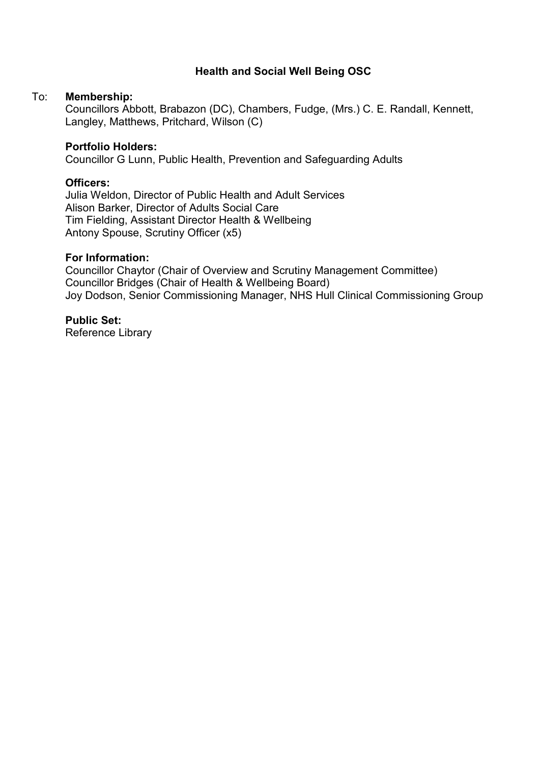## **Health and Social Well Being OSC**

#### To: **Membership:**

 Councillors Abbott, Brabazon (DC), Chambers, Fudge, (Mrs.) C. E. Randall, Kennett, Langley, Matthews, Pritchard, Wilson (C)

#### **Portfolio Holders:**

Councillor G Lunn, Public Health, Prevention and Safeguarding Adults

#### **Officers:**

Julia Weldon, Director of Public Health and Adult Services Alison Barker, Director of Adults Social Care Tim Fielding, Assistant Director Health & Wellbeing Antony Spouse, Scrutiny Officer (x5)

#### **For Information:**

Councillor Chaytor (Chair of Overview and Scrutiny Management Committee) Councillor Bridges (Chair of Health & Wellbeing Board) Joy Dodson, Senior Commissioning Manager, NHS Hull Clinical Commissioning Group

### **Public Set:**

Reference Library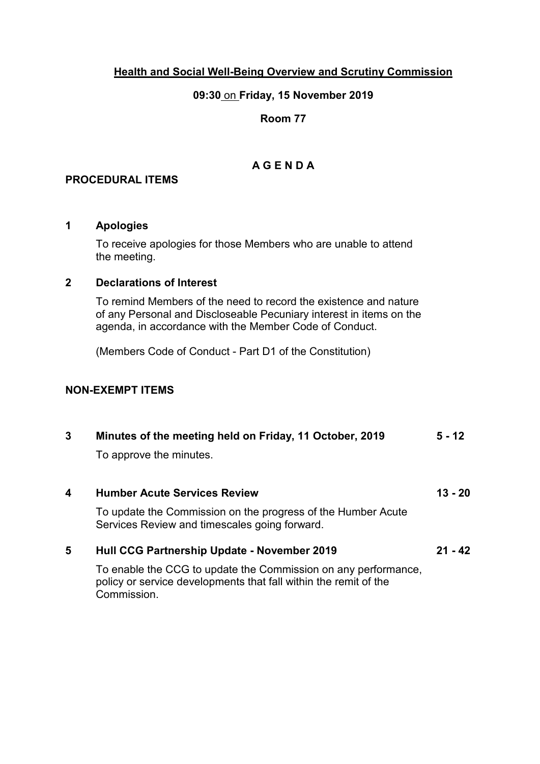## **Health and Social Well-Being Overview and Scrutiny Commission**

### **09:30** on **Friday, 15 November 2019**

## **Room 77**

# **A G E N D A**

# **PROCEDURAL ITEMS**

### **1 Apologies**

To receive apologies for those Members who are unable to attend the meeting.

### **2 Declarations of Interest**

To remind Members of the need to record the existence and nature of any Personal and Discloseable Pecuniary interest in items on the agenda, in accordance with the Member Code of Conduct.

(Members Code of Conduct - Part D1 of the Constitution)

# **NON-EXEMPT ITEMS**

| 3                                                                                                             | Minutes of the meeting held on Friday, 11 October, 2019<br>To approve the minutes.                                                | $5 - 12$  |
|---------------------------------------------------------------------------------------------------------------|-----------------------------------------------------------------------------------------------------------------------------------|-----------|
|                                                                                                               |                                                                                                                                   |           |
| To update the Commission on the progress of the Humber Acute<br>Services Review and timescales going forward. |                                                                                                                                   |           |
| 5                                                                                                             | <b>Hull CCG Partnership Update - November 2019</b>                                                                                | $21 - 42$ |
|                                                                                                               | To enable the CCG to update the Commission on any performance,<br>poliou as agrica devalopmente that foll within the semit of the |           |

policy or service developments that fall within the remit of the Commission.